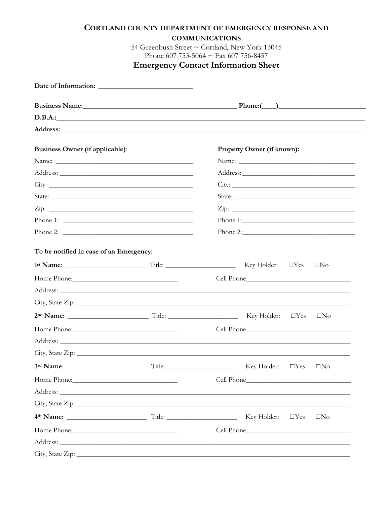|                                         |         | CORTLAND COUNTY DEPARTMENT OF EMERGENCY RESPONSE AND                                                                                                                                                                                                            |
|-----------------------------------------|---------|-----------------------------------------------------------------------------------------------------------------------------------------------------------------------------------------------------------------------------------------------------------------|
|                                         |         | <b>COMMUNICATIONS</b><br>54 Greenbush Street ~ Cortland, New York 13045                                                                                                                                                                                         |
|                                         |         | Phone 607 753-5064 $\sim$ Fax 607 756-8457                                                                                                                                                                                                                      |
|                                         |         | <b>Emergency Contact Information Sheet</b>                                                                                                                                                                                                                      |
|                                         |         |                                                                                                                                                                                                                                                                 |
|                                         |         |                                                                                                                                                                                                                                                                 |
|                                         | D.B.A.: |                                                                                                                                                                                                                                                                 |
|                                         |         |                                                                                                                                                                                                                                                                 |
| Business Owner (if applicable):         |         | Property Owner (if known):                                                                                                                                                                                                                                      |
|                                         |         |                                                                                                                                                                                                                                                                 |
|                                         |         |                                                                                                                                                                                                                                                                 |
|                                         |         |                                                                                                                                                                                                                                                                 |
|                                         |         | State:                                                                                                                                                                                                                                                          |
|                                         |         |                                                                                                                                                                                                                                                                 |
|                                         |         |                                                                                                                                                                                                                                                                 |
|                                         |         |                                                                                                                                                                                                                                                                 |
| To be notified in case of an Emergency: |         |                                                                                                                                                                                                                                                                 |
|                                         |         |                                                                                                                                                                                                                                                                 |
|                                         |         |                                                                                                                                                                                                                                                                 |
|                                         |         | Address:                                                                                                                                                                                                                                                        |
|                                         |         |                                                                                                                                                                                                                                                                 |
|                                         |         | Key Holder:<br>$\Box$ Yes<br>$\square$ No                                                                                                                                                                                                                       |
|                                         |         |                                                                                                                                                                                                                                                                 |
|                                         |         | Address: Andreas Address: Address: Address: Address: Address: Address: Address: Address: Address: Address: Address: Address: Address: Address: Address: Address: Address: Address: Address: Address: Address: Address: Address                                  |
|                                         |         |                                                                                                                                                                                                                                                                 |
|                                         |         | Key Holder:<br>$\Box$ Yes<br>$\Box$ No                                                                                                                                                                                                                          |
| Home Phone:                             |         |                                                                                                                                                                                                                                                                 |
|                                         |         | Address: Address: Address: Address: Address: Address: Address: Address: Address: Address: Address: Address: Address: Address: Address: Address: Address: Address: Address: Address: Address: Address: Address: Address: Addres                                  |
|                                         |         |                                                                                                                                                                                                                                                                 |
|                                         |         | 4th Name: <u>Containing Times and Times and Times and Times and Times and Times and Times and Times and Times and Times and Times and Times and Times and Times and Times and Times and Times and Times and Times and Times and </u><br>$\Box$ Yes<br>$\Box$ No |
|                                         |         |                                                                                                                                                                                                                                                                 |
|                                         |         | Address: <u>Address:</u> Address: Address: Address: Address: Address: Address: Address: Address: Address: Address: Address: Address: Address: Address: Address: Address: Address: Address: Address: Address: Address: Address: Addr                             |
|                                         |         |                                                                                                                                                                                                                                                                 |